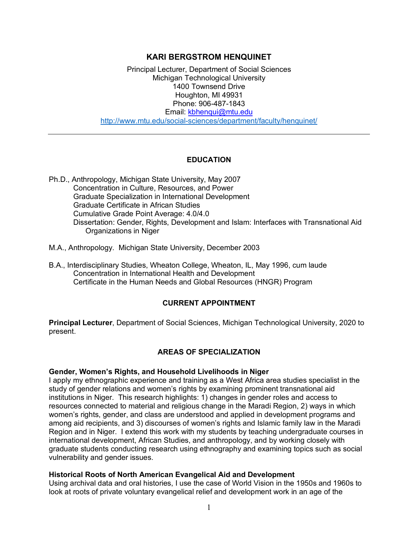# **KARI BERGSTROM HENQUINET**

Principal Lecturer, Department of Social Sciences Michigan Technological University 1400 Townsend Drive Houghton, MI 49931 Phone: 906-487-1843 Email: kbhenqui@mtu.edu http://www.mtu.edu/social-sciences/department/faculty/henquinet/

### **EDUCATION**

- Ph.D., Anthropology, Michigan State University, May 2007 Concentration in Culture, Resources, and Power Graduate Specialization in International Development Graduate Certificate in African Studies Cumulative Grade Point Average: 4.0/4.0 Dissertation: Gender, Rights, Development and Islam: Interfaces with Transnational Aid Organizations in Niger
- M.A., Anthropology. Michigan State University, December 2003
- B.A., Interdisciplinary Studies, Wheaton College, Wheaton, IL, May 1996, cum laude Concentration in International Health and Development Certificate in the Human Needs and Global Resources (HNGR) Program

### **CURRENT APPOINTMENT**

**Principal Lecturer**, Department of Social Sciences, Michigan Technological University, 2020 to present.

# **AREAS OF SPECIALIZATION**

#### **Gender, Women's Rights, and Household Livelihoods in Niger**

I apply my ethnographic experience and training as a West Africa area studies specialist in the study of gender relations and women's rights by examining prominent transnational aid institutions in Niger. This research highlights: 1) changes in gender roles and access to resources connected to material and religious change in the Maradi Region, 2) ways in which women's rights, gender, and class are understood and applied in development programs and among aid recipients, and 3) discourses of women's rights and Islamic family law in the Maradi Region and in Niger. I extend this work with my students by teaching undergraduate courses in international development, African Studies, and anthropology, and by working closely with graduate students conducting research using ethnography and examining topics such as social vulnerability and gender issues.

#### **Historical Roots of North American Evangelical Aid and Development**

Using archival data and oral histories, I use the case of World Vision in the 1950s and 1960s to look at roots of private voluntary evangelical relief and development work in an age of the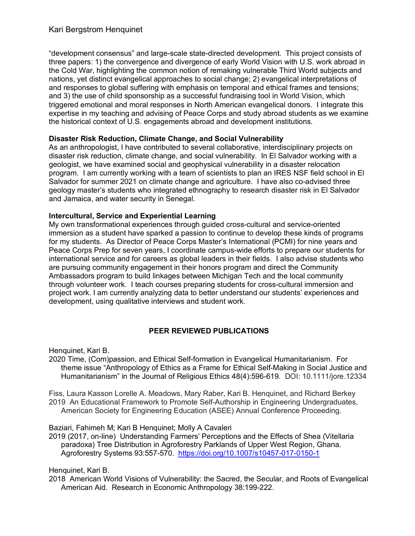"development consensus" and large-scale state-directed development. This project consists of three papers: 1) the convergence and divergence of early World Vision with U.S. work abroad in the Cold War, highlighting the common notion of remaking vulnerable Third World subjects and nations, yet distinct evangelical approaches to social change; 2) evangelical interpretations of and responses to global suffering with emphasis on temporal and ethical frames and tensions; and 3) the use of child sponsorship as a successful fundraising tool in World Vision, which triggered emotional and moral responses in North American evangelical donors. I integrate this expertise in my teaching and advising of Peace Corps and study abroad students as we examine the historical context of U.S. engagements abroad and development institutions.

### **Disaster Risk Reduction, Climate Change, and Social Vulnerability**

As an anthropologist, I have contributed to several collaborative, interdisciplinary projects on disaster risk reduction, climate change, and social vulnerability. In El Salvador working with a geologist, we have examined social and geophysical vulnerability in a disaster relocation program. I am currently working with a team of scientists to plan an IRES NSF field school in El Salvador for summer 2021 on climate change and agriculture. I have also co-advised three geology master's students who integrated ethnography to research disaster risk in El Salvador and Jamaica, and water security in Senegal.

### **Intercultural, Service and Experiential Learning**

My own transformational experiences through guided cross-cultural and service-oriented immersion as a student have sparked a passion to continue to develop these kinds of programs for my students. As Director of Peace Corps Master's International (PCMI) for nine years and Peace Corps Prep for seven years, I coordinate campus-wide efforts to prepare our students for international service and for careers as global leaders in their fields. I also advise students who are pursuing community engagement in their honors program and direct the Community Ambassadors program to build linkages between Michigan Tech and the local community through volunteer work. I teach courses preparing students for cross-cultural immersion and project work. I am currently analyzing data to better understand our students' experiences and development, using qualitative interviews and student work.

# **PEER REVIEWED PUBLICATIONS**

Henquinet, Kari B.

2020 Time, (Com)passion, and Ethical Self-formation in Evangelical Humanitarianism. For theme issue "Anthropology of Ethics as a Frame for Ethical Self-Making in Social Justice and Humanitarianism" in the Journal of Religious Ethics 48(4):596-619. DOI: 10.1111/jore.12334

Fiss, Laura Kasson Lorelle A. Meadows, Mary Raber, Kari B. Henquinet, and Richard Berkey 2019 An Educational Framework to Promote Self-Authorship in Engineering Undergraduates, American Society for Engineering Education (ASEE) Annual Conference Proceeding.

Baziari, Fahimeh M; Kari B Henquinet; Molly A Cavaleri

2019 (2017, on-line) Understanding Farmers' Perceptions and the Effects of Shea (Vitellaria paradoxa) Tree Distribution in Agroforestry Parklands of Upper West Region, Ghana. Agroforestry Systems 93:557-570. https://doi.org/10.1007/s10457-017-0150-1

Henquinet, Kari B.

2018 American World Visions of Vulnerability: the Sacred, the Secular, and Roots of Evangelical American Aid. Research in Economic Anthropology 38:199-222.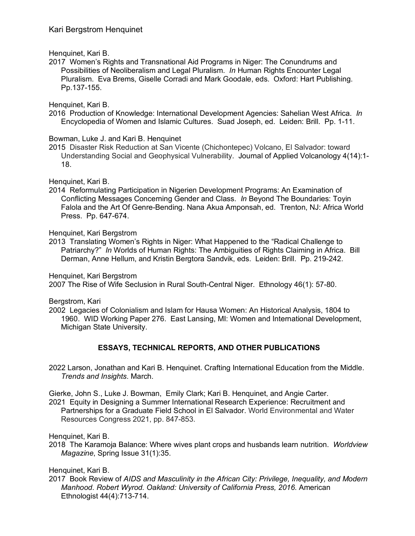Henquinet, Kari B.

2017 Women's Rights and Transnational Aid Programs in Niger: The Conundrums and Possibilities of Neoliberalism and Legal Pluralism. *In* Human Rights Encounter Legal Pluralism. Eva Brems, Giselle Corradi and Mark Goodale, eds. Oxford: Hart Publishing. Pp.137-155.

Henquinet, Kari B.

2016 Production of Knowledge: International Development Agencies: Sahelian West Africa. *In*  Encyclopedia of Women and Islamic Cultures. Suad Joseph, ed. Leiden: Brill. Pp. 1-11.

Bowman, Luke J. and Kari B. Henquinet

2015 Disaster Risk Reduction at San Vicente (Chichontepec) Volcano, El Salvador: toward Understanding Social and Geophysical Vulnerability. Journal of Applied Volcanology 4(14):1- 18.

Henquinet, Kari B.

2014 Reformulating Participation in Nigerien Development Programs: An Examination of Conflicting Messages Concerning Gender and Class. *In* Beyond The Boundaries: Toyin Falola and the Art Of Genre-Bending. Nana Akua Amponsah, ed.Trenton, NJ: Africa World Press. Pp. 647-674.

Henquinet, Kari Bergstrom

2013 Translating Women's Rights in Niger: What Happened to the "Radical Challenge to Patriarchy?" *In* Worlds of Human Rights: The Ambiguities of Rights Claiming in Africa. Bill Derman, Anne Hellum, and Kristin Bergtora Sandvik, eds. Leiden: Brill. Pp. 219-242.

Henquinet, Kari Bergstrom

2007 The Rise of Wife Seclusion in Rural South-Central Niger. Ethnology 46(1): 57-80.

Bergstrom, Kari

2002 Legacies of Colonialism and Islam for Hausa Women: An Historical Analysis, 1804 to 1960. WID Working Paper 276. East Lansing, MI: Women and International Development, Michigan State University.

# **ESSAYS, TECHNICAL REPORTS, AND OTHER PUBLICATIONS**

2022 Larson, Jonathan and Kari B. Henquinet. Crafting International Education from the Middle. *Trends and Insights*. March.

Gierke, John S., Luke J. Bowman, Emily Clark; Kari B. Henquinet, and Angie Carter. 2021 Equity in Designing a Summer International Research Experience: Recruitment and Partnerships for a Graduate Field School in El Salvador. World Environmental and Water Resources Congress 2021, pp. 847-853.

Henquinet, Kari B.

2018 The Karamoja Balance: Where wives plant crops and husbands learn nutrition. *Worldview Magazine*, Spring Issue 31(1):35.

Henquinet, Kari B.

2017 Book Review of *AIDS and Masculinity in the African City: Privilege, Inequality, and Modern Manhood*. *Robert Wyrod. Oakland: University of California Press, 2016*. American Ethnologist 44(4):713-714.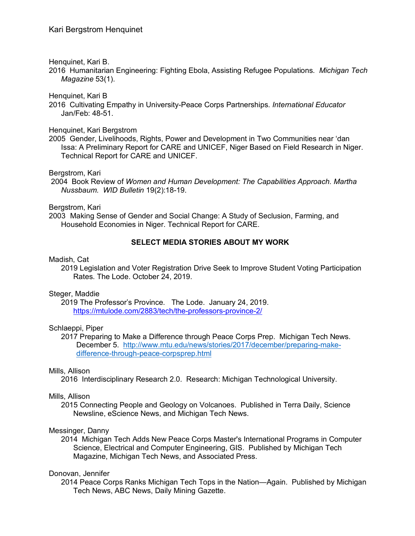Henquinet, Kari B.

2016 Humanitarian Engineering: Fighting Ebola, Assisting Refugee Populations. *Michigan Tech Magazine* 53(1).

Henquinet, Kari B

2016 Cultivating Empathy in University-Peace Corps Partnerships. *International Educator* Jan/Feb: 48-51.

Henquinet, Kari Bergstrom

2005 Gender, Livelihoods, Rights, Power and Development in Two Communities near 'dan Issa: A Preliminary Report for CARE and UNICEF, Niger Based on Field Research in Niger. Technical Report for CARE and UNICEF.

Bergstrom, Kari

2004 Book Review of *Women and Human Development: The Capabilities Approach. Martha Nussbaum. WID Bulletin* 19(2):18-19.

Bergstrom, Kari

2003 Making Sense of Gender and Social Change: A Study of Seclusion, Farming, and Household Economies in Niger. Technical Report for CARE.

### **SELECT MEDIA STORIES ABOUT MY WORK**

#### Madish, Cat

2019 Legislation and Voter Registration Drive Seek to Improve Student Voting Participation Rates. The Lode. October 24, 2019.

### Steger, Maddie

2019 The Professor's Province. The Lode. January 24, 2019. https://mtulode.com/2883/tech/the-professors-province-2/

### Schlaeppi, Piper

2017 Preparing to Make a Difference through Peace Corps Prep. Michigan Tech News. December 5. http://www.mtu.edu/news/stories/2017/december/preparing-makedifference-through-peace-corpsprep.html

### Mills, Allison

2016 Interdisciplinary Research 2.0. Research: Michigan Technological University.

### Mills, Allison

2015 Connecting People and Geology on Volcanoes. Published in Terra Daily, Science Newsline, eScience News, and Michigan Tech News.

### Messinger, Danny

2014 Michigan Tech Adds New Peace Corps Master's International Programs in Computer Science, Electrical and Computer Engineering, GIS. Published by Michigan Tech Magazine, Michigan Tech News, and Associated Press.

### Donovan, Jennifer

2014 Peace Corps Ranks Michigan Tech Tops in the Nation—Again. Published by Michigan Tech News, ABC News, Daily Mining Gazette.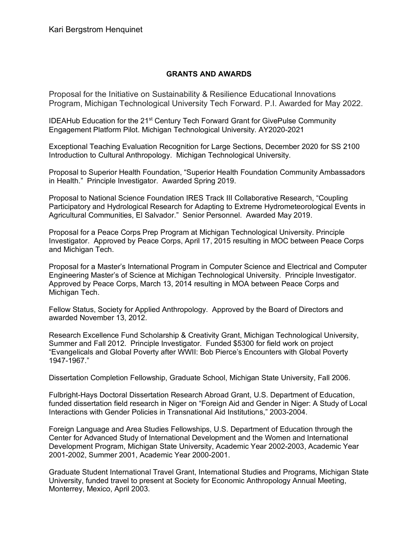### **GRANTS AND AWARDS**

Proposal for the Initiative on Sustainability & Resilience Educational Innovations Program, Michigan Technological University Tech Forward. P.I. Awarded for May 2022.

IDEAHub Education for the 21<sup>st</sup> Century Tech Forward Grant for GivePulse Community Engagement Platform Pilot. Michigan Technological University. AY2020-2021

Exceptional Teaching Evaluation Recognition for Large Sections, December 2020 for SS 2100 Introduction to Cultural Anthropology. Michigan Technological University.

Proposal to Superior Health Foundation, "Superior Health Foundation Community Ambassadors in Health." Principle Investigator. Awarded Spring 2019.

Proposal to National Science Foundation IRES Track III Collaborative Research, "Coupling Participatory and Hydrological Research for Adapting to Extreme Hydrometeorological Events in Agricultural Communities, El Salvador." Senior Personnel. Awarded May 2019.

Proposal for a Peace Corps Prep Program at Michigan Technological University. Principle Investigator. Approved by Peace Corps, April 17, 2015 resulting in MOC between Peace Corps and Michigan Tech.

Proposal for a Master's International Program in Computer Science and Electrical and Computer Engineering Master's of Science at Michigan Technological University. Principle Investigator. Approved by Peace Corps, March 13, 2014 resulting in MOA between Peace Corps and Michigan Tech.

Fellow Status, Society for Applied Anthropology. Approved by the Board of Directors and awarded November 13, 2012.

Research Excellence Fund Scholarship & Creativity Grant, Michigan Technological University, Summer and Fall 2012. Principle Investigator. Funded \$5300 for field work on project "Evangelicals and Global Poverty after WWII: Bob Pierce's Encounters with Global Poverty 1947-1967."

Dissertation Completion Fellowship, Graduate School, Michigan State University, Fall 2006.

Fulbright-Hays Doctoral Dissertation Research Abroad Grant, U.S. Department of Education, funded dissertation field research in Niger on "Foreign Aid and Gender in Niger: A Study of Local Interactions with Gender Policies in Transnational Aid Institutions," 2003-2004.

Foreign Language and Area Studies Fellowships, U.S. Department of Education through the Center for Advanced Study of International Development and the Women and International Development Program, Michigan State University, Academic Year 2002-2003, Academic Year 2001-2002, Summer 2001, Academic Year 2000-2001.

Graduate Student International Travel Grant, International Studies and Programs, Michigan State University, funded travel to present at Society for Economic Anthropology Annual Meeting, Monterrey, Mexico, April 2003.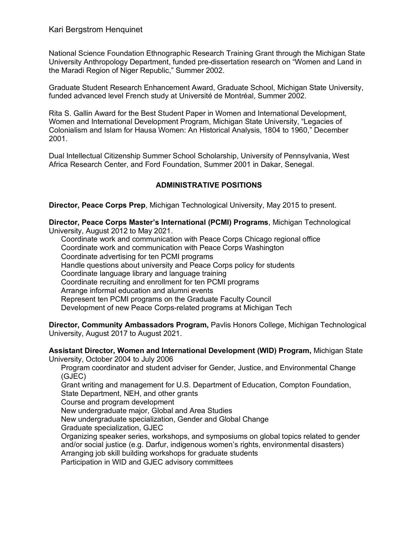National Science Foundation Ethnographic Research Training Grant through the Michigan State University Anthropology Department, funded pre-dissertation research on "Women and Land in the Maradi Region of Niger Republic," Summer 2002.

Graduate Student Research Enhancement Award, Graduate School, Michigan State University, funded advanced level French study at Université de Montréal, Summer 2002.

Rita S. Gallin Award for the Best Student Paper in Women and International Development, Women and International Development Program, Michigan State University, "Legacies of Colonialism and Islam for Hausa Women: An Historical Analysis, 1804 to 1960," December 2001.

Dual Intellectual Citizenship Summer School Scholarship, University of Pennsylvania, West Africa Research Center, and Ford Foundation, Summer 2001 in Dakar, Senegal.

# **ADMINISTRATIVE POSITIONS**

**Director, Peace Corps Prep**, Michigan Technological University, May 2015 to present.

**Director, Peace Corps Master's International (PCMI) Programs**, Michigan Technological University, August 2012 to May 2021.

Coordinate work and communication with Peace Corps Chicago regional office Coordinate work and communication with Peace Corps Washington Coordinate advertising for ten PCMI programs Handle questions about university and Peace Corps policy for students Coordinate language library and language training Coordinate recruiting and enrollment for ten PCMI programs Arrange informal education and alumni events Represent ten PCMI programs on the Graduate Faculty Council Development of new Peace Corps-related programs at Michigan Tech

**Director, Community Ambassadors Program,** Pavlis Honors College, Michigan Technological University, August 2017 to August 2021.

**Assistant Director, Women and International Development (WID) Program,** Michigan State University, October 2004 to July 2006

Program coordinator and student adviser for Gender, Justice, and Environmental Change (GJEC)

Grant writing and management for U.S. Department of Education, Compton Foundation, State Department, NEH, and other grants

Course and program development

New undergraduate major, Global and Area Studies

New undergraduate specialization, Gender and Global Change

Graduate specialization, GJEC

Organizing speaker series, workshops, and symposiums on global topics related to gender and/or social justice (e.g. Darfur, indigenous women's rights, environmental disasters) Arranging job skill building workshops for graduate students

Participation in WID and GJEC advisory committees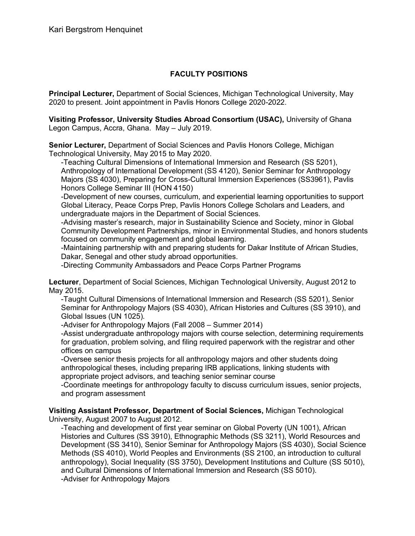# **FACULTY POSITIONS**

**Principal Lecturer,** Department of Social Sciences, Michigan Technological University, May 2020 to present. Joint appointment in Pavlis Honors College 2020-2022.

**Visiting Professor, University Studies Abroad Consortium (USAC),** University of Ghana Legon Campus, Accra, Ghana. May – July 2019.

**Senior Lecturer,** Department of Social Sciences and Pavlis Honors College, Michigan Technological University, May 2015 to May 2020.

-Teaching Cultural Dimensions of International Immersion and Research (SS 5201), Anthropology of International Development (SS 4120), Senior Seminar for Anthropology Majors (SS 4030), Preparing for Cross-Cultural Immersion Experiences (SS3961), Pavlis Honors College Seminar III (HON 4150)

-Development of new courses, curriculum, and experiential learning opportunities to support Global Literacy, Peace Corps Prep, Pavlis Honors College Scholars and Leaders, and undergraduate majors in the Department of Social Sciences.

-Advising master's research, major in Sustainability Science and Society, minor in Global Community Development Partnerships, minor in Environmental Studies, and honors students focused on community engagement and global learning.

-Maintaining partnership with and preparing students for Dakar Institute of African Studies, Dakar, Senegal and other study abroad opportunities.

-Directing Community Ambassadors and Peace Corps Partner Programs

**Lecturer**, Department of Social Sciences, Michigan Technological University, August 2012 to May 2015.

-Taught Cultural Dimensions of International Immersion and Research (SS 5201), Senior Seminar for Anthropology Majors (SS 4030), African Histories and Cultures (SS 3910), and Global Issues (UN 1025).

-Adviser for Anthropology Majors (Fall 2008 – Summer 2014)

-Assist undergraduate anthropology majors with course selection, determining requirements for graduation, problem solving, and filing required paperwork with the registrar and other offices on campus

-Oversee senior thesis projects for all anthropology majors and other students doing anthropological theses, including preparing IRB applications, linking students with appropriate project advisors, and teaching senior seminar course

-Coordinate meetings for anthropology faculty to discuss curriculum issues, senior projects, and program assessment

**Visiting Assistant Professor, Department of Social Sciences,** Michigan Technological University, August 2007 to August 2012.

-Teaching and development of first year seminar on Global Poverty (UN 1001), African Histories and Cultures (SS 3910), Ethnographic Methods (SS 3211), World Resources and Development (SS 3410), Senior Seminar for Anthropology Majors (SS 4030), Social Science Methods (SS 4010), World Peoples and Environments (SS 2100, an introduction to cultural anthropology), Social Inequality (SS 3750), Development Institutions and Culture (SS 5010), and Cultural Dimensions of International Immersion and Research (SS 5010). -Adviser for Anthropology Majors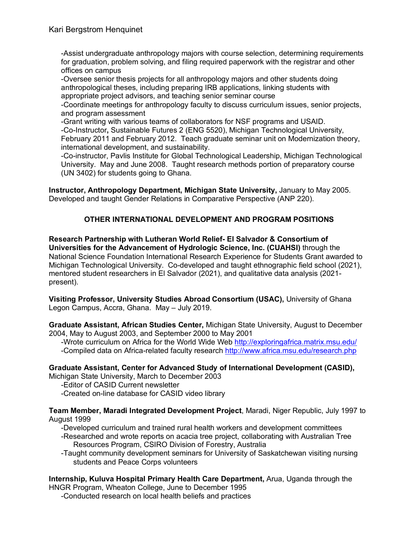-Assist undergraduate anthropology majors with course selection, determining requirements for graduation, problem solving, and filing required paperwork with the registrar and other offices on campus

-Oversee senior thesis projects for all anthropology majors and other students doing anthropological theses, including preparing IRB applications, linking students with appropriate project advisors, and teaching senior seminar course

-Coordinate meetings for anthropology faculty to discuss curriculum issues, senior projects, and program assessment

-Grant writing with various teams of collaborators for NSF programs and USAID. -Co-Instructor**,** Sustainable Futures 2 (ENG 5520), Michigan Technological University, February 2011 and February 2012. Teach graduate seminar unit on Modernization theory, international development, and sustainability.

-Co-instructor, Pavlis Institute for Global Technological Leadership, Michigan Technological University. May and June 2008. Taught research methods portion of preparatory course (UN 3402) for students going to Ghana.

**Instructor, Anthropology Department, Michigan State University,** January to May 2005. Developed and taught Gender Relations in Comparative Perspective (ANP 220).

# **OTHER INTERNATIONAL DEVELOPMENT AND PROGRAM POSITIONS**

**Research Partnership with Lutheran World Relief- El Salvador & Consortium of Universities for the Advancement of Hydrologic Science, Inc. (CUAHSI)** through the National Science Foundation International Research Experience for Students Grant awarded to Michigan Technological University. Co-developed and taught ethnographic field school (2021), mentored student researchers in El Salvador (2021), and qualitative data analysis (2021 present).

**Visiting Professor, University Studies Abroad Consortium (USAC),** University of Ghana Legon Campus, Accra, Ghana. May – July 2019.

**Graduate Assistant, African Studies Center,** Michigan State University, August to December 2004, May to August 2003, and September 2000 to May 2001

-Wrote curriculum on Africa for the World Wide Web http://exploringafrica.matrix.msu.edu/ -Compiled data on Africa-related faculty research http://www.africa.msu.edu/research.php

# **Graduate Assistant, Center for Advanced Study of International Development (CASID),**

Michigan State University, March to December 2003

-Editor of CASID Current newsletter

-Created on-line database for CASID video library

**Team Member, Maradi Integrated Development Project**, Maradi, Niger Republic, July 1997 to August 1999

-Developed curriculum and trained rural health workers and development committees

-Researched and wrote reports on acacia tree project, collaborating with Australian Tree Resources Program, CSIRO Division of Forestry, Australia

-Taught community development seminars for University of Saskatchewan visiting nursing students and Peace Corps volunteers

**Internship, Kuluva Hospital Primary Health Care Department,** Arua, Uganda through the HNGR Program, Wheaton College, June to December 1995

-Conducted research on local health beliefs and practices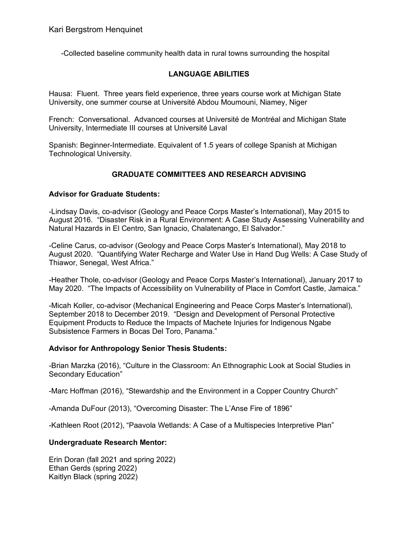-Collected baseline community health data in rural towns surrounding the hospital

### **LANGUAGE ABILITIES**

Hausa: Fluent. Three years field experience, three years course work at Michigan State University, one summer course at Université Abdou Moumouni, Niamey, Niger

French: Conversational. Advanced courses at Université de Montréal and Michigan State University, Intermediate III courses at Université Laval

Spanish: Beginner-Intermediate. Equivalent of 1.5 years of college Spanish at Michigan Technological University.

### **GRADUATE COMMITTEES AND RESEARCH ADVISING**

#### **Advisor for Graduate Students:**

-Lindsay Davis, co-advisor (Geology and Peace Corps Master's International), May 2015 to August 2016. "Disaster Risk in a Rural Environment: A Case Study Assessing Vulnerability and Natural Hazards in El Centro, San Ignacio, Chalatenango, El Salvador."

-Celine Carus, co-advisor (Geology and Peace Corps Master's International), May 2018 to August 2020. "Quantifying Water Recharge and Water Use in Hand Dug Wells: A Case Study of Thiawor, Senegal, West Africa."

-Heather Thole, co-advisor (Geology and Peace Corps Master's International), January 2017 to May 2020. "The Impacts of Accessibility on Vulnerability of Place in Comfort Castle, Jamaica."

-Micah Koller, co-advisor (Mechanical Engineering and Peace Corps Master's International), September 2018 to December 2019. "Design and Development of Personal Protective Equipment Products to Reduce the Impacts of Machete Injuries for Indigenous Ngabe Subsistence Farmers in Bocas Del Toro, Panama."

#### **Advisor for Anthropology Senior Thesis Students:**

-Brian Marzka (2016), "Culture in the Classroom: An Ethnographic Look at Social Studies in Secondary Education"

-Marc Hoffman (2016), "Stewardship and the Environment in a Copper Country Church"

-Amanda DuFour (2013), "Overcoming Disaster: The L'Anse Fire of 1896"

-Kathleen Root (2012), "Paavola Wetlands: A Case of a Multispecies Interpretive Plan"

### **Undergraduate Research Mentor:**

Erin Doran (fall 2021 and spring 2022) Ethan Gerds (spring 2022) Kaitlyn Black (spring 2022)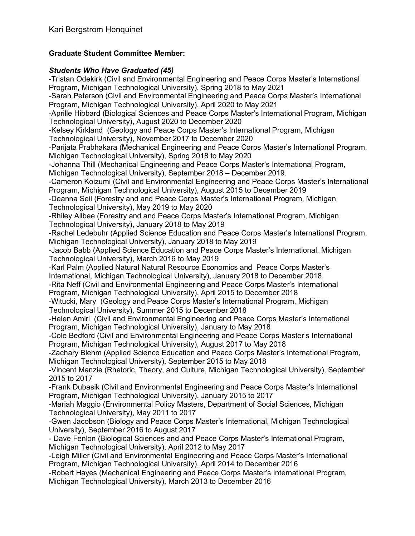# **Graduate Student Committee Member:**

# *Students Who Have Graduated (45)*

-Tristan Odekirk (Civil and Environmental Engineering and Peace Corps Master's International Program, Michigan Technological University), Spring 2018 to May 2021 -Sarah Peterson (Civil and Environmental Engineering and Peace Corps Master's International Program, Michigan Technological University), April 2020 to May 2021 -Aprille Hibbard (Biological Sciences and Peace Corps Master's International Program, Michigan Technological University), August 2020 to December 2020 -Kelsey Kirkland (Geology and Peace Corps Master's International Program, Michigan Technological University), November 2017 to December 2020 -Parijata Prabhakara (Mechanical Engineering and Peace Corps Master's International Program, Michigan Technological University), Spring 2018 to May 2020 -Johanna Thill (Mechanical Engineering and Peace Corps Master's International Program, Michigan Technological University), September 2018 – December 2019. -Cameron Koizumi (Civil and Environmental Engineering and Peace Corps Master's International Program, Michigan Technological University), August 2015 to December 2019 -Deanna Seil (Forestry and and Peace Corps Master's International Program, Michigan Technological University), May 2019 to May 2020 -Rhiley Allbee (Forestry and and Peace Corps Master's International Program, Michigan Technological University), January 2018 to May 2019 -Rachel Ledebuhr (Applied Science Education and Peace Corps Master's International Program, Michigan Technological University), January 2018 to May 2019 -Jacob Babb (Applied Science Education and Peace Corps Master's International, Michigan Technological University), March 2016 to May 2019 -Karl Palm (Applied Natural Natural Resource Economics and Peace Corps Master's International, Michigan Technological University), January 2018 to December 2018. -Rita Neff (Civil and Environmental Engineering and Peace Corps Master's International Program, Michigan Technological University), April 2015 to December 2018 -Witucki, Mary (Geology and Peace Corps Master's International Program, Michigan Technological University), Summer 2015 to December 2018 -Helen Amiri (Civil and Environmental Engineering and Peace Corps Master's International Program, Michigan Technological University), January to May 2018 -Cole Bedford (Civil and Environmental Engineering and Peace Corps Master's International Program, Michigan Technological University), August 2017 to May 2018 -Zachary Blehm (Applied Science Education and Peace Corps Master's International Program, Michigan Technological University), September 2015 to May 2018 -Vincent Manzie (Rhetoric, Theory, and Culture, Michigan Technological University), September 2015 to 2017 -Frank Dubasik (Civil and Environmental Engineering and Peace Corps Master's International Program, Michigan Technological University), January 2015 to 2017 -Mariah Maggio (Environmental Policy Masters, Department of Social Sciences, Michigan Technological University), May 2011 to 2017 -Gwen Jacobson (Biology and Peace Corps Master's International, Michigan Technological University), September 2016 to August 2017 - Dave Fenlon (Biological Sciences and and Peace Corps Master's International Program, Michigan Technological University), April 2012 to May 2017 -Leigh Miller (Civil and Environmental Engineering and Peace Corps Master's International Program, Michigan Technological University), April 2014 to December 2016 -Robert Hayes (Mechanical Engineering and Peace Corps Master's International Program,

Michigan Technological University), March 2013 to December 2016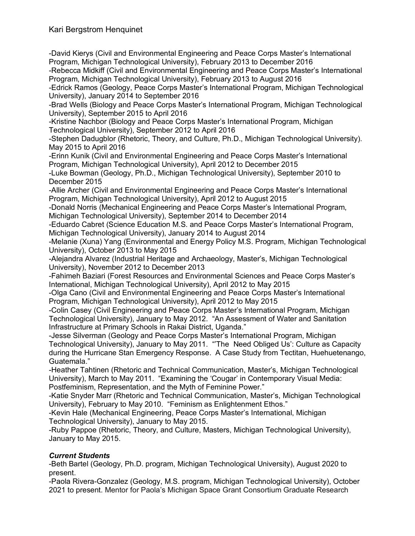-David Kierys (Civil and Environmental Engineering and Peace Corps Master's International Program, Michigan Technological University), February 2013 to December 2016

-Rebecca Midkiff (Civil and Environmental Engineering and Peace Corps Master's International Program, Michigan Technological University), February 2013 to August 2016

-Edrick Ramos (Geology, Peace Corps Master's International Program, Michigan Technological University), January 2014 to September 2016

-Brad Wells (Biology and Peace Corps Master's International Program, Michigan Technological University), September 2015 to April 2016

-Kristine Nachbor (Biology and Peace Corps Master's International Program, Michigan Technological University), September 2012 to April 2016

-Stephen Dadugblor (Rhetoric, Theory, and Culture, Ph.D., Michigan Technological University). May 2015 to April 2016

-Erinn Kunik (Civil and Environmental Engineering and Peace Corps Master's International Program, Michigan Technological University), April 2012 to December 2015

-Luke Bowman (Geology, Ph.D., Michigan Technological University), September 2010 to December 2015

-Allie Archer (Civil and Environmental Engineering and Peace Corps Master's International Program, Michigan Technological University), April 2012 to August 2015

-Donald Norris (Mechanical Engineering and Peace Corps Master's International Program, Michigan Technological University), September 2014 to December 2014

-Eduardo Cabret (Science Education M.S. and Peace Corps Master's International Program, Michigan Technological University), January 2014 to August 2014

-Melanie (Xuna) Yang (Environmental and Energy Policy M.S. Program, Michigan Technological University), October 2013 to May 2015

-Alejandra Alvarez (Industrial Heritage and Archaeology, Master's, Michigan Technological University), November 2012 to December 2013

-Fahimeh Baziari (Forest Resources and Environmental Sciences and Peace Corps Master's International, Michigan Technological University), April 2012 to May 2015

-Olga Cano (Civil and Environmental Engineering and Peace Corps Master's International Program, Michigan Technological University), April 2012 to May 2015

-Colin Casey (Civil Engineering and Peace Corps Master's International Program, Michigan Technological University), January to May 2012. "An Assessment of Water and Sanitation Infrastructure at Primary Schools in Rakai District, Uganda."

-Jesse Silverman (Geology and Peace Corps Master's International Program, Michigan Technological University), January to May 2011. "'The Need Obliged Us': Culture as Capacity during the Hurricane Stan Emergency Response. A Case Study from Tectitan, Huehuetenango, Guatemala."

-Heather Tahtinen (Rhetoric and Technical Communication, Master's, Michigan Technological University), March to May 2011. "Examining the 'Cougar' in Contemporary Visual Media: Postfeminism, Representation, and the Myth of Feminine Power."

-Katie Snyder Marr (Rhetoric and Technical Communication, Master's, Michigan Technological University), February to May 2010. "Feminism as Enlightenment Ethos."

-Kevin Hale (Mechanical Engineering, Peace Corps Master's International, Michigan Technological University), January to May 2015.

-Ruby Pappoe (Rhetoric, Theory, and Culture, Masters, Michigan Technological University), January to May 2015.

# *Current Students*

-Beth Bartel (Geology, Ph.D. program, Michigan Technological University), August 2020 to present.

-Paola Rivera-Gonzalez (Geology, M.S. program, Michigan Technological University), October 2021 to present. Mentor for Paola's Michigan Space Grant Consortium Graduate Research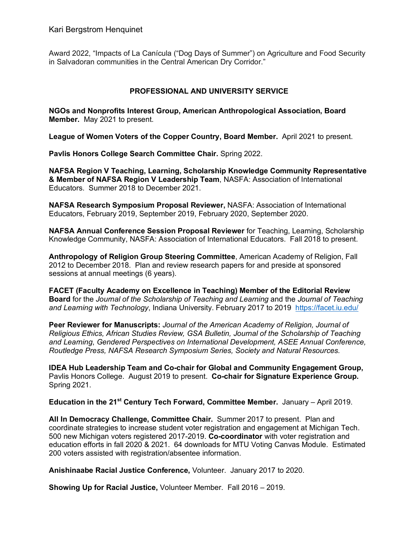Award 2022, "Impacts of La Canícula ("Dog Days of Summer") on Agriculture and Food Security in Salvadoran communities in the Central American Dry Corridor."

### **PROFESSIONAL AND UNIVERSITY SERVICE**

**NGOs and Nonprofits Interest Group, American Anthropological Association, Board Member.** May 2021 to present.

**League of Women Voters of the Copper Country, Board Member.** April 2021 to present.

**Pavlis Honors College Search Committee Chair.** Spring 2022.

**NAFSA Region V Teaching, Learning, Scholarship Knowledge Community Representative & Member of NAFSA Region V Leadership Team**, NASFA: Association of International Educators. Summer 2018 to December 2021.

**NAFSA Research Symposium Proposal Reviewer,** NASFA: Association of International Educators, February 2019, September 2019, February 2020, September 2020.

**NAFSA Annual Conference Session Proposal Reviewer** for Teaching, Learning, Scholarship Knowledge Community, NASFA: Association of International Educators. Fall 2018 to present.

**Anthropology of Religion Group Steering Committee**, American Academy of Religion, Fall 2012 to December 2018. Plan and review research papers for and preside at sponsored sessions at annual meetings (6 years).

**FACET (Faculty Academy on Excellence in Teaching) Member of the Editorial Review Board** for the *Journal of the Scholarship of Teaching and Learning* and the *Journal of Teaching and Learning with Technology*, Indiana University. February 2017 to 2019 https://facet.iu.edu/

**Peer Reviewer for Manuscripts:** *Journal of the American Academy of Religion, Journal of Religious Ethics, African Studies Review, GSA Bulletin, Journal of the Scholarship of Teaching and Learning*, *Gendered Perspectives on International Development, ASEE Annual Conference, Routledge Press, NAFSA Research Symposium Series, Society and Natural Resources.* 

**IDEA Hub Leadership Team and Co-chair for Global and Community Engagement Group,**  Pavlis Honors College. August 2019 to present. **Co-chair for Signature Experience Group.**  Spring 2021.

**Education in the 21st Century Tech Forward, Committee Member.** January – April 2019.

**All In Democracy Challenge, Committee Chair.** Summer 2017 to present. Plan and coordinate strategies to increase student voter registration and engagement at Michigan Tech. 500 new Michigan voters registered 2017-2019. **Co-coordinator** with voter registration and education efforts in fall 2020 & 2021. 64 downloads for MTU Voting Canvas Module. Estimated 200 voters assisted with registration/absentee information.

**Anishinaabe Racial Justice Conference,** Volunteer. January 2017 to 2020.

**Showing Up for Racial Justice,** Volunteer Member. Fall 2016 – 2019.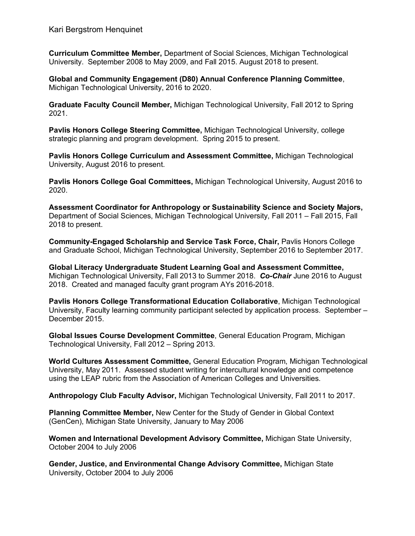**Curriculum Committee Member,** Department of Social Sciences, Michigan Technological University. September 2008 to May 2009, and Fall 2015. August 2018 to present.

**Global and Community Engagement (D80) Annual Conference Planning Committee**, Michigan Technological University, 2016 to 2020.

**Graduate Faculty Council Member,** Michigan Technological University, Fall 2012 to Spring 2021.

**Pavlis Honors College Steering Committee,** Michigan Technological University, college strategic planning and program development. Spring 2015 to present.

**Pavlis Honors College Curriculum and Assessment Committee,** Michigan Technological University, August 2016 to present.

**Pavlis Honors College Goal Committees,** Michigan Technological University, August 2016 to 2020.

**Assessment Coordinator for Anthropology or Sustainability Science and Society Majors,** Department of Social Sciences, Michigan Technological University, Fall 2011 – Fall 2015, Fall 2018 to present.

**Community-Engaged Scholarship and Service Task Force, Chair,** Pavlis Honors College and Graduate School, Michigan Technological University, September 2016 to September 2017.

**Global Literacy Undergraduate Student Learning Goal and Assessment Committee,**  Michigan Technological University, Fall 2013 to Summer 2018. *Co-Chair* June 2016 to August 2018. Created and managed faculty grant program AYs 2016-2018.

**Pavlis Honors College Transformational Education Collaborative**, Michigan Technological University, Faculty learning community participant selected by application process. September – December 2015.

**Global Issues Course Development Committee**, General Education Program, Michigan Technological University, Fall 2012 – Spring 2013.

**World Cultures Assessment Committee,** General Education Program, Michigan Technological University, May 2011. Assessed student writing for intercultural knowledge and competence using the LEAP rubric from the Association of American Colleges and Universities.

**Anthropology Club Faculty Advisor,** Michigan Technological University, Fall 2011 to 2017.

**Planning Committee Member,** New Center for the Study of Gender in Global Context (GenCen), Michigan State University, January to May 2006

**Women and International Development Advisory Committee,** Michigan State University, October 2004 to July 2006

**Gender, Justice, and Environmental Change Advisory Committee,** Michigan State University, October 2004 to July 2006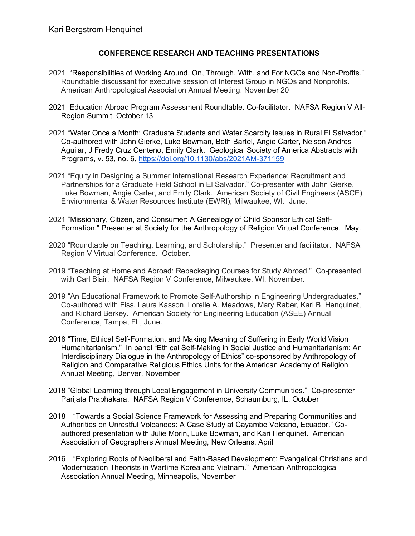### **CONFERENCE RESEARCH AND TEACHING PRESENTATIONS**

- 2021 "Responsibilities of Working Around, On, Through, With, and For NGOs and Non-Profits." Roundtable discussant for executive session of Interest Group in NGOs and Nonprofits. American Anthropological Association Annual Meeting. November 20
- 2021 Education Abroad Program Assessment Roundtable. Co-facilitator. NAFSA Region V All-Region Summit. October 13
- 2021 "Water Once a Month: Graduate Students and Water Scarcity Issues in Rural El Salvador," Co-authored with John Gierke, Luke Bowman, Beth Bartel, Angie Carter, Nelson Andres Aguilar, J Fredy Cruz Centeno, Emily Clark. Geological Society of America Abstracts with Programs, v. 53, no. 6, https://doi.org/10.1130/abs/2021AM-371159
- 2021 "Equity in Designing a Summer International Research Experience: Recruitment and Partnerships for a Graduate Field School in El Salvador." Co-presenter with John Gierke, Luke Bowman, Angie Carter, and Emily Clark. American Society of Civil Engineers (ASCE) Environmental & Water Resources Institute (EWRI), Milwaukee, WI. June.
- 2021 "Missionary, Citizen, and Consumer: A Genealogy of Child Sponsor Ethical Self-Formation." Presenter at Society for the Anthropology of Religion Virtual Conference. May.
- 2020 "Roundtable on Teaching, Learning, and Scholarship." Presenter and facilitator. NAFSA Region V Virtual Conference. October.
- 2019 "Teaching at Home and Abroad: Repackaging Courses for Study Abroad." Co-presented with Carl Blair. NAFSA Region V Conference, Milwaukee, WI, November.
- 2019 "An Educational Framework to Promote Self-Authorship in Engineering Undergraduates," Co-authored with Fiss, Laura Kasson, Lorelle A. Meadows, Mary Raber, Kari B. Henquinet, and Richard Berkey. American Society for Engineering Education (ASEE) Annual Conference, Tampa, FL, June.
- 2018 "Time, Ethical Self-Formation, and Making Meaning of Suffering in Early World Vision Humanitarianism." In panel "Ethical Self-Making in Social Justice and Humanitarianism: An Interdisciplinary Dialogue in the Anthropology of Ethics" co-sponsored by Anthropology of Religion and Comparative Religious Ethics Units for the American Academy of Religion Annual Meeting, Denver, November
- 2018 "Global Learning through Local Engagement in University Communities." Co-presenter Parijata Prabhakara. NAFSA Region V Conference, Schaumburg, IL, October
- 2018 "Towards a Social Science Framework for Assessing and Preparing Communities and Authorities on Unrestful Volcanoes: A Case Study at Cayambe Volcano, Ecuador." Coauthored presentation with Julie Morin, Luke Bowman, and Kari Henquinet. American Association of Geographers Annual Meeting, New Orleans, April
- 2016 "Exploring Roots of Neoliberal and Faith-Based Development: Evangelical Christians and Modernization Theorists in Wartime Korea and Vietnam." American Anthropological Association Annual Meeting, Minneapolis, November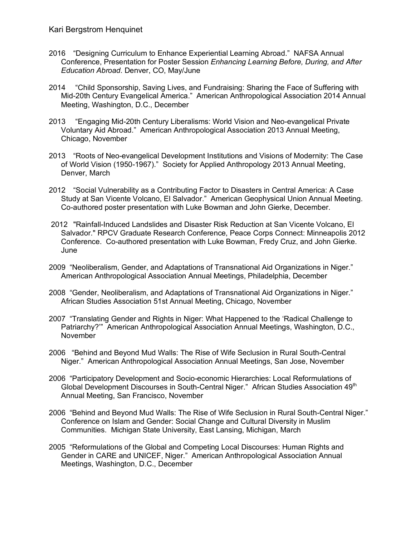- 2016 "Designing Curriculum to Enhance Experiential Learning Abroad." NAFSA Annual Conference, Presentation for Poster Session *Enhancing Learning Before, During, and After Education Abroad*. Denver, CO, May/June
- 2014 "Child Sponsorship, Saving Lives, and Fundraising: Sharing the Face of Suffering with Mid-20th Century Evangelical America." American Anthropological Association 2014 Annual Meeting, Washington, D.C., December
- 2013 "Engaging Mid-20th Century Liberalisms: World Vision and Neo-evangelical Private Voluntary Aid Abroad." American Anthropological Association 2013 Annual Meeting, Chicago, November
- 2013 "Roots of Neo-evangelical Development Institutions and Visions of Modernity: The Case of World Vision (1950-1967)." Society for Applied Anthropology 2013 Annual Meeting, Denver, March
- 2012 "Social Vulnerability as a Contributing Factor to Disasters in Central America: A Case Study at San Vicente Volcano, El Salvador." American Geophysical Union Annual Meeting. Co-authored poster presentation with Luke Bowman and John Gierke, December.
- 2012 "Rainfall-Induced Landslides and Disaster Risk Reduction at San Vicente Volcano, El Salvador." RPCV Graduate Research Conference, Peace Corps Connect: Minneapolis 2012 Conference. Co-authored presentation with Luke Bowman, Fredy Cruz, and John Gierke. June
- 2009 "Neoliberalism, Gender, and Adaptations of Transnational Aid Organizations in Niger." American Anthropological Association Annual Meetings, Philadelphia, December
- 2008 "Gender, Neoliberalism, and Adaptations of Transnational Aid Organizations in Niger." African Studies Association 51st Annual Meeting, Chicago, November
- 2007 "Translating Gender and Rights in Niger: What Happened to the 'Radical Challenge to Patriarchy?'" American Anthropological Association Annual Meetings, Washington, D.C., November
- 2006 "Behind and Beyond Mud Walls: The Rise of Wife Seclusion in Rural South-Central Niger." American Anthropological Association Annual Meetings, San Jose, November
- 2006 "Participatory Development and Socio-economic Hierarchies: Local Reformulations of Global Development Discourses in South-Central Niger." African Studies Association 49<sup>th</sup> Annual Meeting, San Francisco, November
- 2006 "Behind and Beyond Mud Walls: The Rise of Wife Seclusion in Rural South-Central Niger." Conference on Islam and Gender: Social Change and Cultural Diversity in Muslim Communities. Michigan State University, East Lansing, Michigan, March
- 2005 "Reformulations of the Global and Competing Local Discourses: Human Rights and Gender in CARE and UNICEF, Niger." American Anthropological Association Annual Meetings, Washington, D.C., December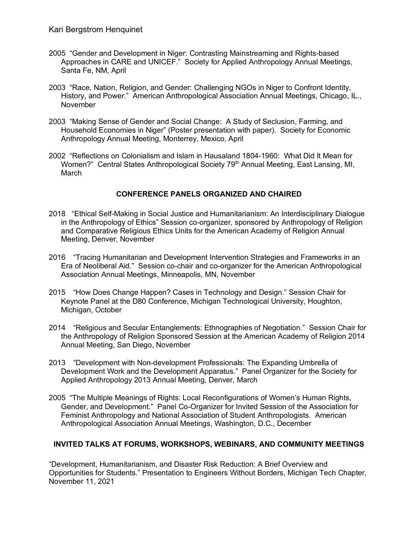- 2005 "Gender and Development in Niger: Contrasting Mainstreaming and Rights-based Approaches in CARE and UNICEF." Society for Applied Anthropology Annual Meetings, Santa Fe, NM, April
- 2003 "Race, Nation, Religion, and Gender: Challenging NGOs in Niger to Confront Identity, History, and Power." American Anthropological Association Annual Meetings, Chicago, IL., November
- 2003 "Making Sense of Gender and Social Change: A Study of Seclusion, Farming, and Household Economies in Niger" (Poster presentation with paper). Society for Economic Anthropology Annual Meeting, Monterrey, Mexico, April
- 2002 "Reflections on Colonialism and Islam in Hausaland 1804-1960: What Did It Mean for Women?" Central States Anthropological Society 79<sup>th</sup> Annual Meeting, East Lansing, MI, March

### **CONFERENCE PANELS ORGANIZED AND CHAIRED**

- 2018 "Ethical Self-Making in Social Justice and Humanitarianism: An Interdisciplinary Dialogue in the Anthropology of Ethics" Session co-organizer, sponsored by Anthropology of Religion and Comparative Religious Ethics Units for the American Academy of Religion Annual Meeting, Denver, November
- 2016 "Tracing Humanitarian and Development Intervention Strategies and Frameworks in an Era of Neoliberal Aid." Session co-chair and co-organizer for the American Anthropological Association Annual Meetings, Minneapolis, MN, November
- 2015 "How Does Change Happen? Cases in Technology and Design." Session Chair for Keynote Panel at the D80 Conference, Michigan Technological University, Houghton, Michigan, October
- 2014 "Religious and Secular Entanglements: Ethnographies of Negotiation." Session Chair for the Anthropology of Religion Sponsored Session at the American Academy of Religion 2014 Annual Meeting, San Diego, November
- 2013 "Development with Non-development Professionals: The Expanding Umbrella of Development Work and the Development Apparatus." Panel Organizer for the Society for Applied Anthropology 2013 Annual Meeting, Denver, March
- 2005 "The Multiple Meanings of Rights: Local Reconfigurations of Women's Human Rights, Gender, and Development." Panel Co-Organizer for Invited Session of the Association for Feminist Anthropology and National Association of Student Anthropologists. American Anthropological Association Annual Meetings, Washington, D.C., December

# **INVITED TALKS AT FORUMS, WORKSHOPS, WEBINARS, AND COMMUNITY MEETINGS**

"Development, Humanitarianism, and Disaster Risk Reduction: A Brief Overview and Opportunities for Students." Presentation to Engineers Without Borders, Michigan Tech Chapter, November 11, 2021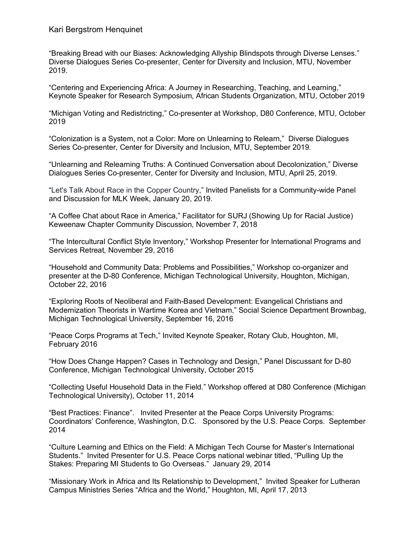Kari Bergstrom Henquinet

"Breaking Bread with our Biases: Acknowledging Allyship Blindspots through Diverse Lenses." Diverse Dialogues Series Co-presenter, Center for Diversity and Inclusion, MTU, November 2019.

"Centering and Experiencing Africa: A Journey in Researching, Teaching, and Learning," Keynote Speaker for Research Symposium, African Students Organization, MTU, October 2019

"Michigan Voting and Redistricting," Co-presenter at Workshop, D80 Conference, MTU, October 2019

"Colonization is a System, not a Color: More on Unlearning to Relearn," Diverse Dialogues Series Co-presenter, Center for Diversity and Inclusion, MTU, September 2019.

"Unlearning and Relearning Truths: A Continued Conversation about Decolonization," Diverse Dialogues Series Co-presenter, Center for Diversity and Inclusion, MTU, April 25, 2019.

"Let's Talk About Race in the Copper Country," Invited Panelists for a Community-wide Panel and Discussion for MLK Week, January 20, 2019.

"A Coffee Chat about Race in America," Facilitator for SURJ (Showing Up for Racial Justice) Keweenaw Chapter Community Discussion, November 7, 2018

"The Intercultural Conflict Style Inventory," Workshop Presenter for International Programs and Services Retreat, November 29, 2016

"Household and Community Data: Problems and Possibilities," Workshop co-organizer and presenter at the D-80 Conference, Michigan Technological University, Houghton, Michigan, October 22, 2016

"Exploring Roots of Neoliberal and Faith-Based Development: Evangelical Christians and Modernization Theorists in Wartime Korea and Vietnam," Social Science Department Brownbag, Michigan Technological University, September 16, 2016

"Peace Corps Programs at Tech," Invited Keynote Speaker, Rotary Club, Houghton, MI, February 2016

"How Does Change Happen? Cases in Technology and Design," Panel Discussant for D-80 Conference, Michigan Technological University, October 2015

"Collecting Useful Household Data in the Field." Workshop offered at D80 Conference (Michigan Technological University), October 11, 2014

"Best Practices: Finance". Invited Presenter at the Peace Corps University Programs: Coordinators' Conference, Washington, D.C. Sponsored by the U.S. Peace Corps. September 2014

"Culture Learning and Ethics on the Field: A Michigan Tech Course for Master's International Students." Invited Presenter for U.S. Peace Corps national webinar titled, "Pulling Up the Stakes: Preparing MI Students to Go Overseas." January 29, 2014

"Missionary Work in Africa and Its Relationship to Development," Invited Speaker for Lutheran Campus Ministries Series "Africa and the World," Houghton, MI, April 17, 2013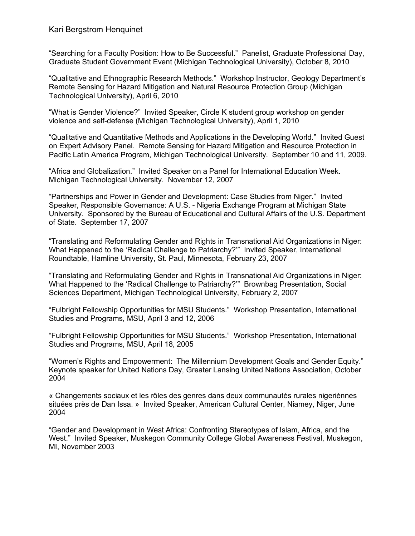Kari Bergstrom Henquinet

"Searching for a Faculty Position: How to Be Successful." Panelist, Graduate Professional Day, Graduate Student Government Event (Michigan Technological University), October 8, 2010

"Qualitative and Ethnographic Research Methods." Workshop Instructor, Geology Department's Remote Sensing for Hazard Mitigation and Natural Resource Protection Group (Michigan Technological University), April 6, 2010

"What is Gender Violence?" Invited Speaker, Circle K student group workshop on gender violence and self-defense (Michigan Technological University), April 1, 2010

"Qualitative and Quantitative Methods and Applications in the Developing World." Invited Guest on Expert Advisory Panel. Remote Sensing for Hazard Mitigation and Resource Protection in Pacific Latin America Program, Michigan Technological University. September 10 and 11, 2009.

"Africa and Globalization." Invited Speaker on a Panel for International Education Week. Michigan Technological University. November 12, 2007

"Partnerships and Power in Gender and Development: Case Studies from Niger." Invited Speaker, Responsible Governance: A U.S. - Nigeria Exchange Program at Michigan State University. Sponsored by the Bureau of Educational and Cultural Affairs of the U.S. Department of State. September 17, 2007

"Translating and Reformulating Gender and Rights in Transnational Aid Organizations in Niger: What Happened to the 'Radical Challenge to Patriarchy?'" Invited Speaker, International Roundtable, Hamline University, St. Paul, Minnesota, February 23, 2007

"Translating and Reformulating Gender and Rights in Transnational Aid Organizations in Niger: What Happened to the 'Radical Challenge to Patriarchy?'" Brownbag Presentation, Social Sciences Department, Michigan Technological University, February 2, 2007

"Fulbright Fellowship Opportunities for MSU Students." Workshop Presentation, International Studies and Programs, MSU, April 3 and 12, 2006

"Fulbright Fellowship Opportunities for MSU Students." Workshop Presentation, International Studies and Programs, MSU, April 18, 2005

"Women's Rights and Empowerment: The Millennium Development Goals and Gender Equity." Keynote speaker for United Nations Day, Greater Lansing United Nations Association, October 2004

« Changements sociaux et les rôles des genres dans deux communautés rurales nigeriènnes situées près de Dan Issa. » Invited Speaker, American Cultural Center, Niamey, Niger, June 2004

"Gender and Development in West Africa: Confronting Stereotypes of Islam, Africa, and the West." Invited Speaker, Muskegon Community College Global Awareness Festival, Muskegon, MI, November 2003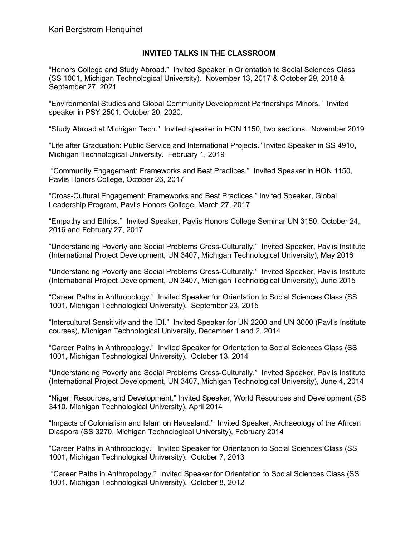### **INVITED TALKS IN THE CLASSROOM**

"Honors College and Study Abroad." Invited Speaker in Orientation to Social Sciences Class (SS 1001, Michigan Technological University). November 13, 2017 & October 29, 2018 & September 27, 2021

"Environmental Studies and Global Community Development Partnerships Minors." Invited speaker in PSY 2501. October 20, 2020.

"Study Abroad at Michigan Tech." Invited speaker in HON 1150, two sections. November 2019

"Life after Graduation: Public Service and International Projects." Invited Speaker in SS 4910, Michigan Technological University. February 1, 2019

"Community Engagement: Frameworks and Best Practices." Invited Speaker in HON 1150, Pavlis Honors College, October 26, 2017

"Cross-Cultural Engagement: Frameworks and Best Practices." Invited Speaker, Global Leadership Program, Pavlis Honors College, March 27, 2017

"Empathy and Ethics." Invited Speaker, Pavlis Honors College Seminar UN 3150, October 24, 2016 and February 27, 2017

"Understanding Poverty and Social Problems Cross-Culturally." Invited Speaker, Pavlis Institute (International Project Development, UN 3407, Michigan Technological University), May 2016

"Understanding Poverty and Social Problems Cross-Culturally." Invited Speaker, Pavlis Institute (International Project Development, UN 3407, Michigan Technological University), June 2015

"Career Paths in Anthropology." Invited Speaker for Orientation to Social Sciences Class (SS 1001, Michigan Technological University). September 23, 2015

"Intercultural Sensitivity and the IDI." Invited Speaker for UN 2200 and UN 3000 (Pavlis Institute courses), Michigan Technological University, December 1 and 2, 2014

"Career Paths in Anthropology." Invited Speaker for Orientation to Social Sciences Class (SS 1001, Michigan Technological University). October 13, 2014

"Understanding Poverty and Social Problems Cross-Culturally." Invited Speaker, Pavlis Institute (International Project Development, UN 3407, Michigan Technological University), June 4, 2014

"Niger, Resources, and Development." Invited Speaker, World Resources and Development (SS 3410, Michigan Technological University), April 2014

"Impacts of Colonialism and Islam on Hausaland." Invited Speaker, Archaeology of the African Diaspora (SS 3270, Michigan Technological University), February 2014

"Career Paths in Anthropology." Invited Speaker for Orientation to Social Sciences Class (SS 1001, Michigan Technological University). October 7, 2013

"Career Paths in Anthropology." Invited Speaker for Orientation to Social Sciences Class (SS 1001, Michigan Technological University). October 8, 2012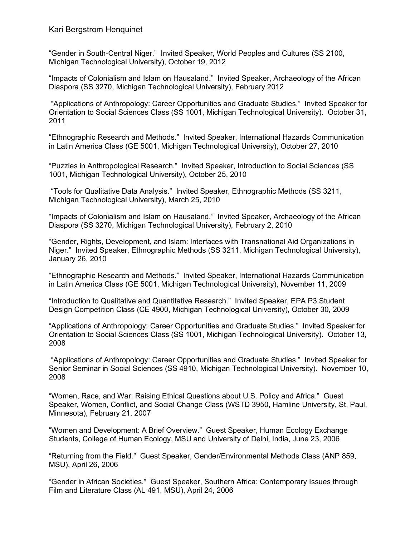Kari Bergstrom Henquinet

"Gender in South-Central Niger." Invited Speaker, World Peoples and Cultures (SS 2100, Michigan Technological University), October 19, 2012

"Impacts of Colonialism and Islam on Hausaland." Invited Speaker, Archaeology of the African Diaspora (SS 3270, Michigan Technological University), February 2012

"Applications of Anthropology: Career Opportunities and Graduate Studies." Invited Speaker for Orientation to Social Sciences Class (SS 1001, Michigan Technological University). October 31, 2011

"Ethnographic Research and Methods." Invited Speaker, International Hazards Communication in Latin America Class (GE 5001, Michigan Technological University), October 27, 2010

"Puzzles in Anthropological Research." Invited Speaker, Introduction to Social Sciences (SS 1001, Michigan Technological University), October 25, 2010

"Tools for Qualitative Data Analysis." Invited Speaker, Ethnographic Methods (SS 3211, Michigan Technological University), March 25, 2010

"Impacts of Colonialism and Islam on Hausaland." Invited Speaker, Archaeology of the African Diaspora (SS 3270, Michigan Technological University), February 2, 2010

"Gender, Rights, Development, and Islam: Interfaces with Transnational Aid Organizations in Niger." Invited Speaker, Ethnographic Methods (SS 3211, Michigan Technological University), January 26, 2010

"Ethnographic Research and Methods." Invited Speaker, International Hazards Communication in Latin America Class (GE 5001, Michigan Technological University), November 11, 2009

"Introduction to Qualitative and Quantitative Research." Invited Speaker, EPA P3 Student Design Competition Class (CE 4900, Michigan Technological University), October 30, 2009

"Applications of Anthropology: Career Opportunities and Graduate Studies." Invited Speaker for Orientation to Social Sciences Class (SS 1001, Michigan Technological University). October 13, 2008

"Applications of Anthropology: Career Opportunities and Graduate Studies." Invited Speaker for Senior Seminar in Social Sciences (SS 4910, Michigan Technological University). November 10, 2008

"Women, Race, and War: Raising Ethical Questions about U.S. Policy and Africa." Guest Speaker, Women, Conflict, and Social Change Class (WSTD 3950, Hamline University, St. Paul, Minnesota), February 21, 2007

"Women and Development: A Brief Overview." Guest Speaker, Human Ecology Exchange Students, College of Human Ecology, MSU and University of Delhi, India, June 23, 2006

"Returning from the Field." Guest Speaker, Gender/Environmental Methods Class (ANP 859, MSU), April 26, 2006

"Gender in African Societies." Guest Speaker, Southern Africa: Contemporary Issues through Film and Literature Class (AL 491, MSU), April 24, 2006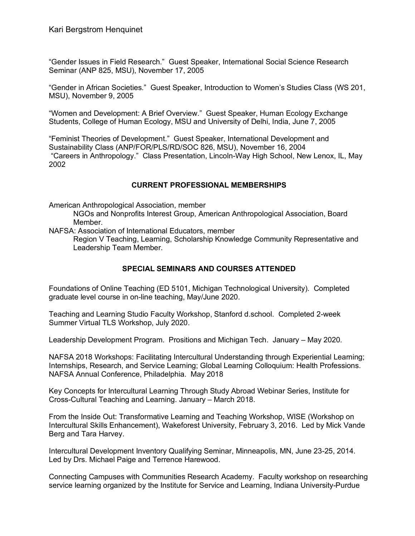"Gender Issues in Field Research." Guest Speaker, International Social Science Research Seminar (ANP 825, MSU), November 17, 2005

"Gender in African Societies." Guest Speaker, Introduction to Women's Studies Class (WS 201, MSU), November 9, 2005

"Women and Development: A Brief Overview." Guest Speaker, Human Ecology Exchange Students, College of Human Ecology, MSU and University of Delhi, India, June 7, 2005

"Feminist Theories of Development." Guest Speaker, International Development and Sustainability Class (ANP/FOR/PLS/RD/SOC 826, MSU), November 16, 2004 "Careers in Anthropology." Class Presentation, Lincoln-Way High School, New Lenox, IL, May 2002

#### **CURRENT PROFESSIONAL MEMBERSHIPS**

American Anthropological Association, member

NGOs and Nonprofits Interest Group, American Anthropological Association, Board Member.

NAFSA: Association of International Educators, member

Region V Teaching, Learning, Scholarship Knowledge Community Representative and Leadership Team Member.

### **SPECIAL SEMINARS AND COURSES ATTENDED**

Foundations of Online Teaching (ED 5101, Michigan Technological University). Completed graduate level course in on-line teaching, May/June 2020.

Teaching and Learning Studio Faculty Workshop, Stanford d.school. Completed 2-week Summer Virtual TLS Workshop, July 2020.

Leadership Development Program. Prositions and Michigan Tech. January – May 2020.

NAFSA 2018 Workshops: Facilitating Intercultural Understanding through Experiential Learning; Internships, Research, and Service Learning; Global Learning Colloquium: Health Professions. NAFSA Annual Conference, Philadelphia. May 2018

Key Concepts for Intercultural Learning Through Study Abroad Webinar Series, Institute for Cross-Cultural Teaching and Learning. January – March 2018.

From the Inside Out: Transformative Learning and Teaching Workshop, WISE (Workshop on Intercultural Skills Enhancement), Wakeforest University, February 3, 2016. Led by Mick Vande Berg and Tara Harvey.

Intercultural Development Inventory Qualifying Seminar, Minneapolis, MN, June 23-25, 2014. Led by Drs. Michael Paige and Terrence Harewood.

Connecting Campuses with Communities Research Academy. Faculty workshop on researching service learning organized by the Institute for Service and Learning, Indiana University-Purdue